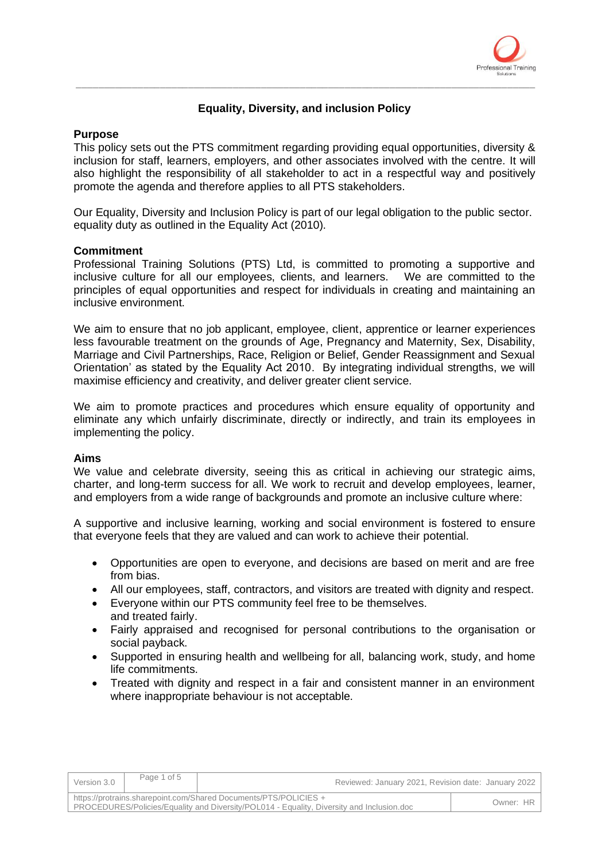

# **Equality, Diversity, and inclusion Policy**

\_\_\_\_\_\_\_\_\_\_\_\_\_\_\_\_\_\_\_\_\_\_\_\_\_\_\_\_\_\_\_\_\_\_\_\_\_\_\_\_\_\_\_\_\_\_\_\_\_\_\_\_\_\_\_\_\_\_\_\_\_\_\_\_\_\_\_\_\_\_\_\_\_\_\_\_\_\_\_\_\_\_

## **Purpose**

This policy sets out the PTS commitment regarding providing equal opportunities, diversity & inclusion for staff, learners, employers, and other associates involved with the centre. It will also highlight the responsibility of all stakeholder to act in a respectful way and positively promote the agenda and therefore applies to all PTS stakeholders.

Our Equality, Diversity and Inclusion Policy is part of our legal obligation to the public sector. equality duty as outlined in the Equality Act (2010).

## **Commitment**

Professional Training Solutions (PTS) Ltd, is committed to promoting a supportive and inclusive culture for all our employees, clients, and learners. We are committed to the principles of equal opportunities and respect for individuals in creating and maintaining an inclusive environment.

We aim to ensure that no job applicant, employee, client, apprentice or learner experiences less favourable treatment on the grounds of Age, Pregnancy and Maternity, Sex, Disability, Marriage and Civil Partnerships, Race, Religion or Belief, Gender Reassignment and Sexual Orientation' as stated by the Equality Act 2010. By integrating individual strengths, we will maximise efficiency and creativity, and deliver greater client service.

We aim to promote practices and procedures which ensure equality of opportunity and eliminate any which unfairly discriminate, directly or indirectly, and train its employees in implementing the policy.

#### **Aims**

We value and celebrate diversity, seeing this as critical in achieving our strategic aims, charter, and long-term success for all. We work to recruit and develop employees, learner, and employers from a wide range of backgrounds and promote an inclusive culture where:

A supportive and inclusive learning, working and social environment is fostered to ensure that everyone feels that they are valued and can work to achieve their potential.

- Opportunities are open to everyone, and decisions are based on merit and are free from bias.
- All our employees, staff, contractors, and visitors are treated with dignity and respect.
- Everyone within our PTS community feel free to be themselves. and treated fairly.
- Fairly appraised and recognised for personal contributions to the organisation or social payback.
- Supported in ensuring health and wellbeing for all, balancing work, study, and home life commitments.
- Treated with dignity and respect in a fair and consistent manner in an environment where inappropriate behaviour is not acceptable.

| Version 3.0                                                                                                                                                   | Page 1 of 5 | Reviewed: January 2021, Revision date: January 2022 |           |
|---------------------------------------------------------------------------------------------------------------------------------------------------------------|-------------|-----------------------------------------------------|-----------|
| https://protrains.sharepoint.com/Shared Documents/PTS/POLICIES +<br>PROCEDURES/Policies/Equality and Diversity/POL014 - Equality, Diversity and Inclusion.doc |             |                                                     | Owner: HR |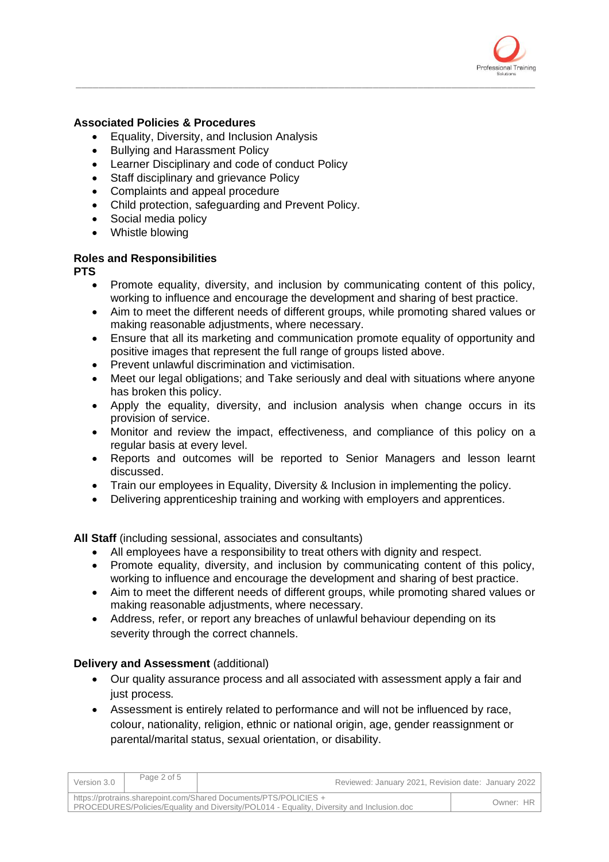

# **Associated Policies & Procedures**

- Equality, Diversity, and Inclusion Analysis
- Bullying and Harassment Policy
- Learner Disciplinary and code of conduct Policy
- Staff disciplinary and grievance Policy
- Complaints and appeal procedure
- Child protection, safeguarding and Prevent Policy.
- Social media policy
- Whistle blowing

# **Roles and Responsibilities**

**PTS** 

• Promote equality, diversity, and inclusion by communicating content of this policy, working to influence and encourage the development and sharing of best practice.

\_\_\_\_\_\_\_\_\_\_\_\_\_\_\_\_\_\_\_\_\_\_\_\_\_\_\_\_\_\_\_\_\_\_\_\_\_\_\_\_\_\_\_\_\_\_\_\_\_\_\_\_\_\_\_\_\_\_\_\_\_\_\_\_\_\_\_\_\_\_\_\_\_\_\_\_\_\_\_\_\_\_

- Aim to meet the different needs of different groups, while promoting shared values or making reasonable adjustments, where necessary.
- Ensure that all its marketing and communication promote equality of opportunity and positive images that represent the full range of groups listed above.
- Prevent unlawful discrimination and victimisation.
- Meet our legal obligations; and Take seriously and deal with situations where anyone has broken this policy.
- Apply the equality, diversity, and inclusion analysis when change occurs in its provision of service.
- Monitor and review the impact, effectiveness, and compliance of this policy on a regular basis at every level.
- Reports and outcomes will be reported to Senior Managers and lesson learnt discussed.
- Train our employees in Equality, Diversity & Inclusion in implementing the policy.
- Delivering apprenticeship training and working with employers and apprentices.

**All Staff** (including sessional, associates and consultants)

- All employees have a responsibility to treat others with dignity and respect.
- Promote equality, diversity, and inclusion by communicating content of this policy, working to influence and encourage the development and sharing of best practice.
- Aim to meet the different needs of different groups, while promoting shared values or making reasonable adjustments, where necessary.
- Address, refer, or report any breaches of unlawful behaviour depending on its severity through the correct channels.

# **Delivery and Assessment** (additional)

- Our quality assurance process and all associated with assessment apply a fair and just process.
- Assessment is entirely related to performance and will not be influenced by race, colour, nationality, religion, ethnic or national origin, age, gender reassignment or parental/marital status, sexual orientation, or disability.

| Version 3.0                                                                                                                                                   | Page 2 of 5 | Reviewed: January 2021, Revision date: January 2022 |           |
|---------------------------------------------------------------------------------------------------------------------------------------------------------------|-------------|-----------------------------------------------------|-----------|
| https://protrains.sharepoint.com/Shared Documents/PTS/POLICIES +<br>PROCEDURES/Policies/Equality and Diversity/POL014 - Equality, Diversity and Inclusion.doc |             |                                                     | Owner: HR |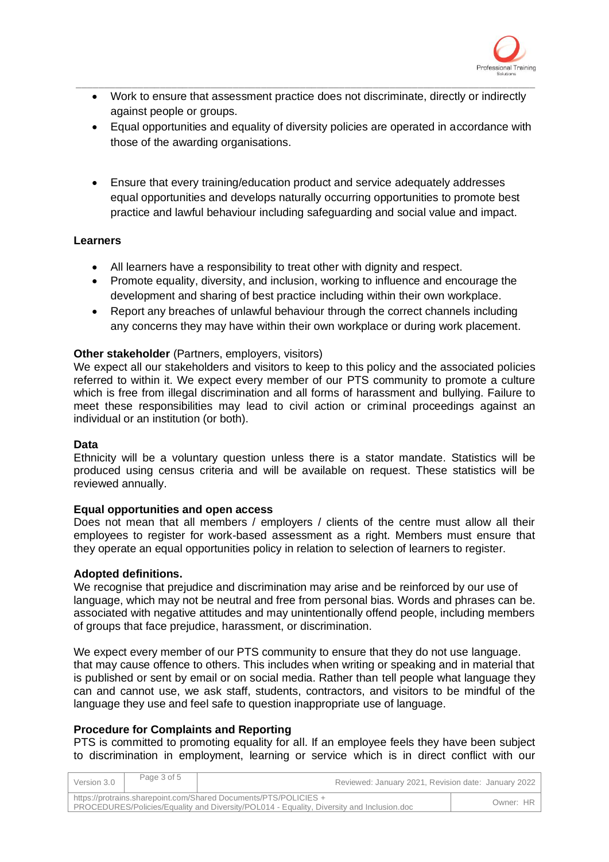

• Work to ensure that assessment practice does not discriminate, directly or indirectly against people or groups.

\_\_\_\_\_\_\_\_\_\_\_\_\_\_\_\_\_\_\_\_\_\_\_\_\_\_\_\_\_\_\_\_\_\_\_\_\_\_\_\_\_\_\_\_\_\_\_\_\_\_\_\_\_\_\_\_\_\_\_\_\_\_\_\_\_\_\_\_\_\_\_\_\_\_\_\_\_\_\_\_\_\_

- Equal opportunities and equality of diversity policies are operated in accordance with those of the awarding organisations.
- Ensure that every training/education product and service adequately addresses equal opportunities and develops naturally occurring opportunities to promote best practice and lawful behaviour including safeguarding and social value and impact.

# **Learners**

- All learners have a responsibility to treat other with dignity and respect.
- Promote equality, diversity, and inclusion, working to influence and encourage the development and sharing of best practice including within their own workplace.
- Report any breaches of unlawful behaviour through the correct channels including any concerns they may have within their own workplace or during work placement.

## **Other stakeholder** (Partners, employers, visitors)

We expect all our stakeholders and visitors to keep to this policy and the associated policies referred to within it. We expect every member of our PTS community to promote a culture which is free from illegal discrimination and all forms of harassment and bullying. Failure to meet these responsibilities may lead to civil action or criminal proceedings against an individual or an institution (or both).

#### **Data**

Ethnicity will be a voluntary question unless there is a stator mandate. Statistics will be produced using census criteria and will be available on request. These statistics will be reviewed annually.

#### **Equal opportunities and open access**

Does not mean that all members / employers / clients of the centre must allow all their employees to register for work-based assessment as a right. Members must ensure that they operate an equal opportunities policy in relation to selection of learners to register.

#### **Adopted definitions.**

We recognise that prejudice and discrimination may arise and be reinforced by our use of language, which may not be neutral and free from personal bias. Words and phrases can be. associated with negative attitudes and may unintentionally offend people, including members of groups that face prejudice, harassment, or discrimination.

We expect every member of our PTS community to ensure that they do not use language. that may cause offence to others. This includes when writing or speaking and in material that is published or sent by email or on social media. Rather than tell people what language they can and cannot use, we ask staff, students, contractors, and visitors to be mindful of the language they use and feel safe to question inappropriate use of language.

# **Procedure for Complaints and Reporting**

PTS is committed to promoting equality for all. If an employee feels they have been subject to discrimination in employment, learning or service which is in direct conflict with our

| Version 3.0                                                                                                                                                   | Page 3 of 5 | Reviewed: January 2021, Revision date: January 2022 |           |
|---------------------------------------------------------------------------------------------------------------------------------------------------------------|-------------|-----------------------------------------------------|-----------|
| https://protrains.sharepoint.com/Shared Documents/PTS/POLICIES +<br>PROCEDURES/Policies/Equality and Diversity/POL014 - Equality, Diversity and Inclusion.doc |             |                                                     | Owner: HR |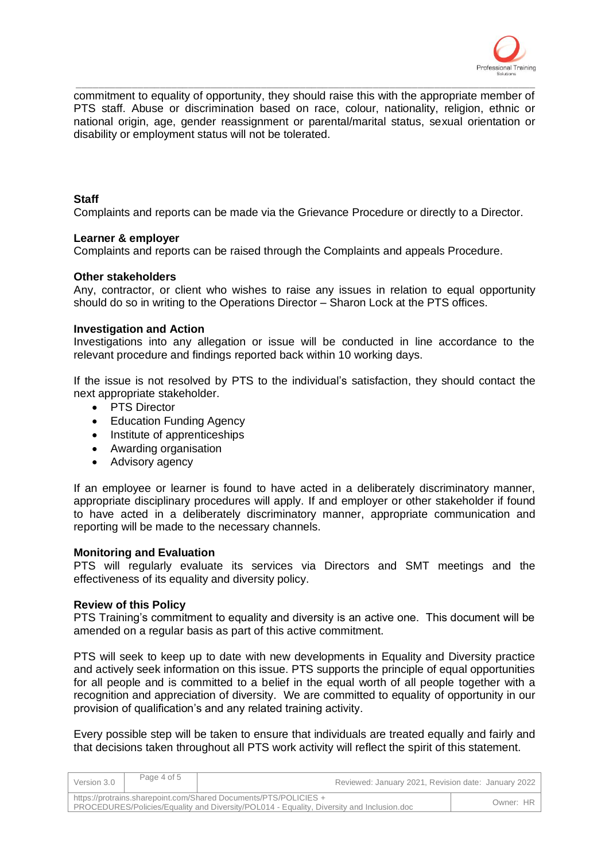

commitment to equality of opportunity, they should raise this with the appropriate member of PTS staff. Abuse or discrimination based on race, colour, nationality, religion, ethnic or national origin, age, gender reassignment or parental/marital status, sexual orientation or disability or employment status will not be tolerated.

\_\_\_\_\_\_\_\_\_\_\_\_\_\_\_\_\_\_\_\_\_\_\_\_\_\_\_\_\_\_\_\_\_\_\_\_\_\_\_\_\_\_\_\_\_\_\_\_\_\_\_\_\_\_\_\_\_\_\_\_\_\_\_\_\_\_\_\_\_\_\_\_\_\_\_\_\_\_\_\_\_\_

## **Staff**

Complaints and reports can be made via the Grievance Procedure or directly to a Director.

#### **Learner & employer**

Complaints and reports can be raised through the Complaints and appeals Procedure.

## **Other stakeholders**

Any, contractor, or client who wishes to raise any issues in relation to equal opportunity should do so in writing to the Operations Director – Sharon Lock at the PTS offices.

## **Investigation and Action**

Investigations into any allegation or issue will be conducted in line accordance to the relevant procedure and findings reported back within 10 working days.

If the issue is not resolved by PTS to the individual's satisfaction, they should contact the next appropriate stakeholder.

- PTS Director
- Education Funding Agency
- Institute of apprenticeships
- Awarding organisation
- Advisory agency

If an employee or learner is found to have acted in a deliberately discriminatory manner, appropriate disciplinary procedures will apply. If and employer or other stakeholder if found to have acted in a deliberately discriminatory manner, appropriate communication and reporting will be made to the necessary channels.

#### **Monitoring and Evaluation**

PTS will regularly evaluate its services via Directors and SMT meetings and the effectiveness of its equality and diversity policy.

#### **Review of this Policy**

PTS Training's commitment to equality and diversity is an active one. This document will be amended on a regular basis as part of this active commitment.

PTS will seek to keep up to date with new developments in Equality and Diversity practice and actively seek information on this issue. PTS supports the principle of equal opportunities for all people and is committed to a belief in the equal worth of all people together with a recognition and appreciation of diversity. We are committed to equality of opportunity in our provision of qualification's and any related training activity.

Every possible step will be taken to ensure that individuals are treated equally and fairly and that decisions taken throughout all PTS work activity will reflect the spirit of this statement.

| Version 3.0                                                                                                                                                   | Page 4 of 5 | Reviewed: January 2021, Revision date: January 2022 |           |
|---------------------------------------------------------------------------------------------------------------------------------------------------------------|-------------|-----------------------------------------------------|-----------|
| https://protrains.sharepoint.com/Shared Documents/PTS/POLICIES +<br>PROCEDURES/Policies/Equality and Diversity/POL014 - Equality, Diversity and Inclusion.doc |             |                                                     | Owner: HR |